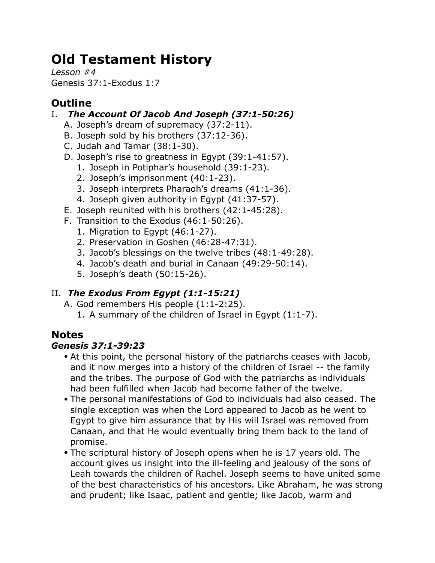# **Old Testament History**

*Lesson #4* Genesis 37:1-Exodus 1:7

# **Outline**

### I. *The Account Of Jacob And Joseph (37:1-50:26)*

- A. Joseph's dream of supremacy (37:2-11).
- B. Joseph sold by his brothers (37:12-36).
- C. Judah and Tamar (38:1-30).
- D. Joseph's rise to greatness in Egypt (39:1-41:57).
	- 1. Joseph in Potiphar's household (39:1-23).
	- 2. Joseph's imprisonment (40:1-23).
	- 3. Joseph interprets Pharaoh's dreams (41:1-36).
	- 4. Joseph given authority in Egypt (41:37-57).
- E. Joseph reunited with his brothers (42:1-45:28).
- F. Transition to the Exodus (46:1-50:26).
	- 1. Migration to Egypt (46:1-27).
	- 2. Preservation in Goshen (46:28-47:31).
	- 3. Jacob's blessings on the twelve tribes (48:1-49:28).
	- 4. Jacob's death and burial in Canaan (49:29-50:14).
	- 5. Joseph's death (50:15-26).

## II. *The Exodus From Egypt (1:1-15:21)*

- A. God remembers His people (1:1-2:25).
	- 1. A summary of the children of Israel in Egypt (1:1-7).

# **Notes**

### *Genesis 37:1-39:23*

- At this point, the personal history of the patriarchs ceases with Jacob, and it now merges into a history of the children of Israel -- the family and the tribes. The purpose of God with the patriarchs as individuals had been fulfilled when Jacob had become father of the twelve.
- The personal manifestations of God to individuals had also ceased. The single exception was when the Lord appeared to Jacob as he went to Egypt to give him assurance that by His will Israel was removed from Canaan, and that He would eventually bring them back to the land of promise.
- The scriptural history of Joseph opens when he is 17 years old. The account gives us insight into the ill-feeling and jealousy of the sons of Leah towards the children of Rachel. Joseph seems to have united some of the best characteristics of his ancestors. Like Abraham, he was strong and prudent; like Isaac, patient and gentle; like Jacob, warm and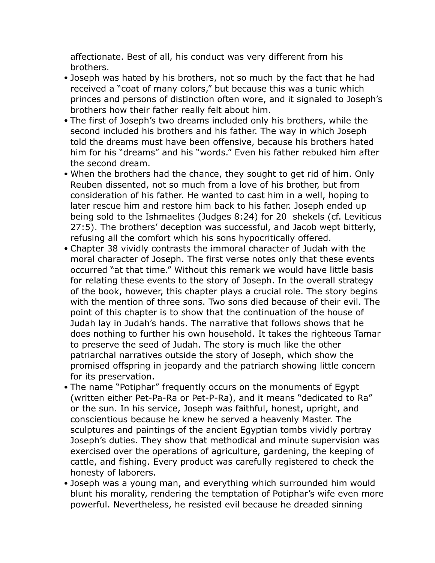affectionate. Best of all, his conduct was very different from his brothers.

- Joseph was hated by his brothers, not so much by the fact that he had received a "coat of many colors," but because this was a tunic which princes and persons of distinction often wore, and it signaled to Joseph's brothers how their father really felt about him.
- The first of Joseph's two dreams included only his brothers, while the second included his brothers and his father. The way in which Joseph told the dreams must have been offensive, because his brothers hated him for his "dreams" and his "words." Even his father rebuked him after the second dream.
- When the brothers had the chance, they sought to get rid of him. Only Reuben dissented, not so much from a love of his brother, but from consideration of his father. He wanted to cast him in a well, hoping to later rescue him and restore him back to his father. Joseph ended up being sold to the Ishmaelites (Judges 8:24) for 20 shekels (cf. Leviticus 27:5). The brothers' deception was successful, and Jacob wept bitterly, refusing all the comfort which his sons hypocritically offered.
- Chapter 38 vividly contrasts the immoral character of Judah with the moral character of Joseph. The first verse notes only that these events occurred "at that time." Without this remark we would have little basis for relating these events to the story of Joseph. In the overall strategy of the book, however, this chapter plays a crucial role. The story begins with the mention of three sons. Two sons died because of their evil. The point of this chapter is to show that the continuation of the house of Judah lay in Judah's hands. The narrative that follows shows that he does nothing to further his own household. It takes the righteous Tamar to preserve the seed of Judah. The story is much like the other patriarchal narratives outside the story of Joseph, which show the promised offspring in jeopardy and the patriarch showing little concern for its preservation.
- The name "Potiphar" frequently occurs on the monuments of Egypt (written either Pet-Pa-Ra or Pet-P-Ra), and it means "dedicated to Ra" or the sun. In his service, Joseph was faithful, honest, upright, and conscientious because he knew he served a heavenly Master. The sculptures and paintings of the ancient Egyptian tombs vividly portray Joseph's duties. They show that methodical and minute supervision was exercised over the operations of agriculture, gardening, the keeping of cattle, and fishing. Every product was carefully registered to check the honesty of laborers.
- Joseph was a young man, and everything which surrounded him would blunt his morality, rendering the temptation of Potiphar's wife even more powerful. Nevertheless, he resisted evil because he dreaded sinning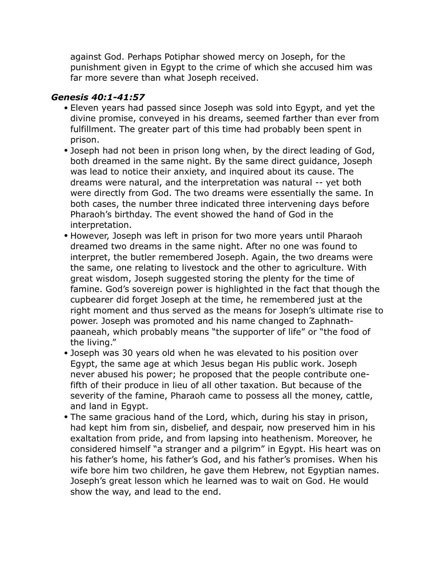against God. Perhaps Potiphar showed mercy on Joseph, for the punishment given in Egypt to the crime of which she accused him was far more severe than what Joseph received.

#### *Genesis 40:1-41:57*

- Eleven years had passed since Joseph was sold into Egypt, and yet the divine promise, conveyed in his dreams, seemed farther than ever from fulfillment. The greater part of this time had probably been spent in prison.
- Joseph had not been in prison long when, by the direct leading of God, both dreamed in the same night. By the same direct guidance, Joseph was lead to notice their anxiety, and inquired about its cause. The dreams were natural, and the interpretation was natural -- yet both were directly from God. The two dreams were essentially the same. In both cases, the number three indicated three intervening days before Pharaoh's birthday. The event showed the hand of God in the interpretation.
- However, Joseph was left in prison for two more years until Pharaoh dreamed two dreams in the same night. After no one was found to interpret, the butler remembered Joseph. Again, the two dreams were the same, one relating to livestock and the other to agriculture. With great wisdom, Joseph suggested storing the plenty for the time of famine. God's sovereign power is highlighted in the fact that though the cupbearer did forget Joseph at the time, he remembered just at the right moment and thus served as the means for Joseph's ultimate rise to power. Joseph was promoted and his name changed to Zaphnathpaaneah, which probably means "the supporter of life" or "the food of the living."
- Joseph was 30 years old when he was elevated to his position over Egypt, the same age at which Jesus began His public work. Joseph never abused his power; he proposed that the people contribute onefifth of their produce in lieu of all other taxation. But because of the severity of the famine, Pharaoh came to possess all the money, cattle, and land in Egypt.
- The same gracious hand of the Lord, which, during his stay in prison, had kept him from sin, disbelief, and despair, now preserved him in his exaltation from pride, and from lapsing into heathenism. Moreover, he considered himself "a stranger and a pilgrim" in Egypt. His heart was on his father's home, his father's God, and his father's promises. When his wife bore him two children, he gave them Hebrew, not Egyptian names. Joseph's great lesson which he learned was to wait on God. He would show the way, and lead to the end.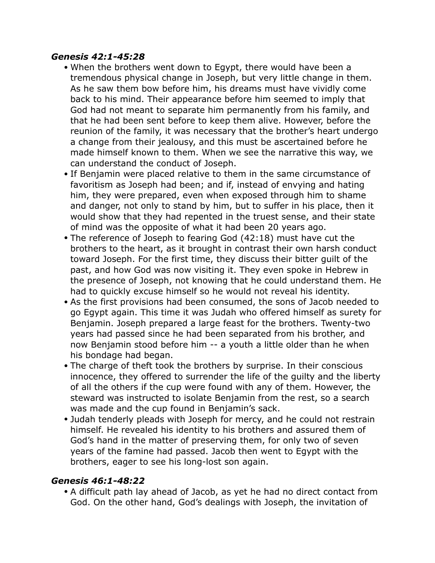#### *Genesis 42:1-45:28*

- When the brothers went down to Egypt, there would have been a tremendous physical change in Joseph, but very little change in them. As he saw them bow before him, his dreams must have vividly come back to his mind. Their appearance before him seemed to imply that God had not meant to separate him permanently from his family, and that he had been sent before to keep them alive. However, before the reunion of the family, it was necessary that the brother's heart undergo a change from their jealousy, and this must be ascertained before he made himself known to them. When we see the narrative this way, we can understand the conduct of Joseph.
- If Benjamin were placed relative to them in the same circumstance of favoritism as Joseph had been; and if, instead of envying and hating him, they were prepared, even when exposed through him to shame and danger, not only to stand by him, but to suffer in his place, then it would show that they had repented in the truest sense, and their state of mind was the opposite of what it had been 20 years ago.
- The reference of Joseph to fearing God (42:18) must have cut the brothers to the heart, as it brought in contrast their own harsh conduct toward Joseph. For the first time, they discuss their bitter guilt of the past, and how God was now visiting it. They even spoke in Hebrew in the presence of Joseph, not knowing that he could understand them. He had to quickly excuse himself so he would not reveal his identity.
- As the first provisions had been consumed, the sons of Jacob needed to go Egypt again. This time it was Judah who offered himself as surety for Benjamin. Joseph prepared a large feast for the brothers. Twenty-two years had passed since he had been separated from his brother, and now Benjamin stood before him -- a youth a little older than he when his bondage had began.
- The charge of theft took the brothers by surprise. In their conscious innocence, they offered to surrender the life of the guilty and the liberty of all the others if the cup were found with any of them. However, the steward was instructed to isolate Benjamin from the rest, so a search was made and the cup found in Benjamin's sack.
- Judah tenderly pleads with Joseph for mercy, and he could not restrain himself. He revealed his identity to his brothers and assured them of God's hand in the matter of preserving them, for only two of seven years of the famine had passed. Jacob then went to Egypt with the brothers, eager to see his long-lost son again.

#### *Genesis 46:1-48:22*

• A difficult path lay ahead of Jacob, as yet he had no direct contact from God. On the other hand, God's dealings with Joseph, the invitation of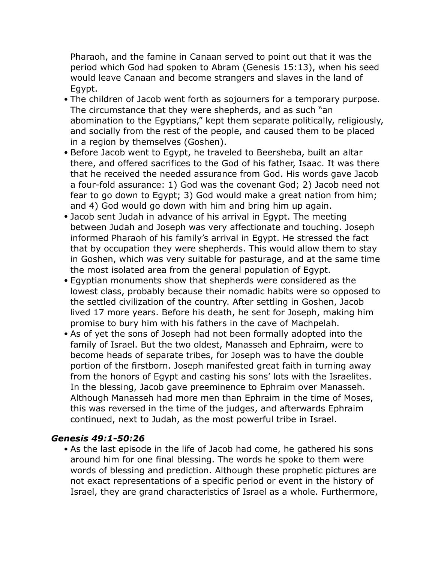Pharaoh, and the famine in Canaan served to point out that it was the period which God had spoken to Abram (Genesis 15:13), when his seed would leave Canaan and become strangers and slaves in the land of Egypt.

- The children of Jacob went forth as sojourners for a temporary purpose. The circumstance that they were shepherds, and as such "an abomination to the Egyptians," kept them separate politically, religiously, and socially from the rest of the people, and caused them to be placed in a region by themselves (Goshen).
- Before Jacob went to Egypt, he traveled to Beersheba, built an altar there, and offered sacrifices to the God of his father, Isaac. It was there that he received the needed assurance from God. His words gave Jacob a four-fold assurance: 1) God was the covenant God; 2) Jacob need not fear to go down to Egypt; 3) God would make a great nation from him; and 4) God would go down with him and bring him up again.
- Jacob sent Judah in advance of his arrival in Egypt. The meeting between Judah and Joseph was very affectionate and touching. Joseph informed Pharaoh of his family's arrival in Egypt. He stressed the fact that by occupation they were shepherds. This would allow them to stay in Goshen, which was very suitable for pasturage, and at the same time the most isolated area from the general population of Egypt.
- Egyptian monuments show that shepherds were considered as the lowest class, probably because their nomadic habits were so opposed to the settled civilization of the country. After settling in Goshen, Jacob lived 17 more years. Before his death, he sent for Joseph, making him promise to bury him with his fathers in the cave of Machpelah.
- As of yet the sons of Joseph had not been formally adopted into the family of Israel. But the two oldest, Manasseh and Ephraim, were to become heads of separate tribes, for Joseph was to have the double portion of the firstborn. Joseph manifested great faith in turning away from the honors of Egypt and casting his sons' lots with the Israelites. In the blessing, Jacob gave preeminence to Ephraim over Manasseh. Although Manasseh had more men than Ephraim in the time of Moses, this was reversed in the time of the judges, and afterwards Ephraim continued, next to Judah, as the most powerful tribe in Israel.

#### *Genesis 49:1-50:26*

• As the last episode in the life of Jacob had come, he gathered his sons around him for one final blessing. The words he spoke to them were words of blessing and prediction. Although these prophetic pictures are not exact representations of a specific period or event in the history of Israel, they are grand characteristics of Israel as a whole. Furthermore,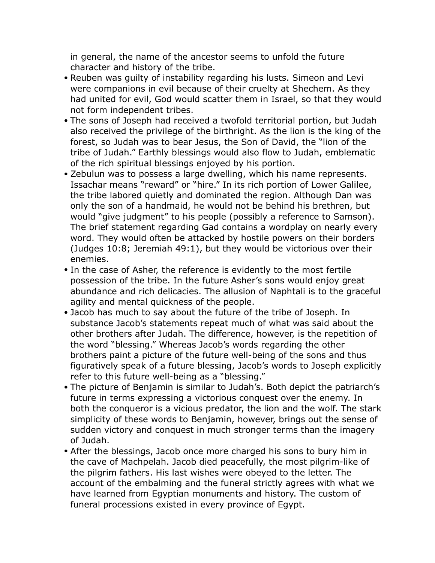in general, the name of the ancestor seems to unfold the future character and history of the tribe.

- Reuben was guilty of instability regarding his lusts. Simeon and Levi were companions in evil because of their cruelty at Shechem. As they had united for evil, God would scatter them in Israel, so that they would not form independent tribes.
- The sons of Joseph had received a twofold territorial portion, but Judah also received the privilege of the birthright. As the lion is the king of the forest, so Judah was to bear Jesus, the Son of David, the "lion of the tribe of Judah." Earthly blessings would also flow to Judah, emblematic of the rich spiritual blessings enjoyed by his portion.
- Zebulun was to possess a large dwelling, which his name represents. Issachar means "reward" or "hire." In its rich portion of Lower Galilee, the tribe labored quietly and dominated the region. Although Dan was only the son of a handmaid, he would not be behind his brethren, but would "give judgment" to his people (possibly a reference to Samson). The brief statement regarding Gad contains a wordplay on nearly every word. They would often be attacked by hostile powers on their borders (Judges 10:8; Jeremiah 49:1), but they would be victorious over their enemies.
- In the case of Asher, the reference is evidently to the most fertile possession of the tribe. In the future Asher's sons would enjoy great abundance and rich delicacies. The allusion of Naphtali is to the graceful agility and mental quickness of the people.
- Jacob has much to say about the future of the tribe of Joseph. In substance Jacob's statements repeat much of what was said about the other brothers after Judah. The difference, however, is the repetition of the word "blessing." Whereas Jacob's words regarding the other brothers paint a picture of the future well-being of the sons and thus figuratively speak of a future blessing, Jacob's words to Joseph explicitly refer to this future well-being as a "blessing."
- The picture of Benjamin is similar to Judah's. Both depict the patriarch's future in terms expressing a victorious conquest over the enemy. In both the conqueror is a vicious predator, the lion and the wolf. The stark simplicity of these words to Benjamin, however, brings out the sense of sudden victory and conquest in much stronger terms than the imagery of Judah.
- After the blessings, Jacob once more charged his sons to bury him in the cave of Machpelah. Jacob died peacefully, the most pilgrim-like of the pilgrim fathers. His last wishes were obeyed to the letter. The account of the embalming and the funeral strictly agrees with what we have learned from Egyptian monuments and history. The custom of funeral processions existed in every province of Egypt.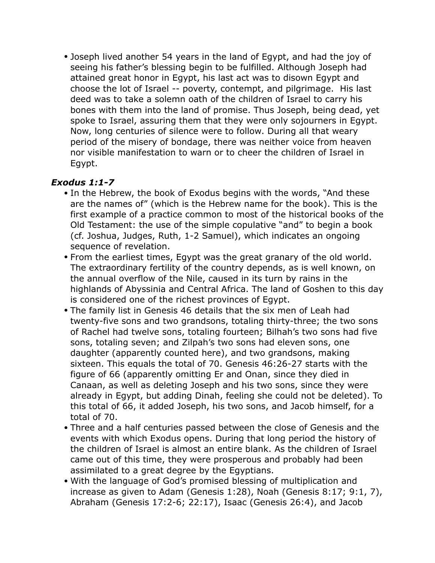• Joseph lived another 54 years in the land of Egypt, and had the joy of seeing his father's blessing begin to be fulfilled. Although Joseph had attained great honor in Egypt, his last act was to disown Egypt and choose the lot of Israel -- poverty, contempt, and pilgrimage. His last deed was to take a solemn oath of the children of Israel to carry his bones with them into the land of promise. Thus Joseph, being dead, yet spoke to Israel, assuring them that they were only sojourners in Egypt. Now, long centuries of silence were to follow. During all that weary period of the misery of bondage, there was neither voice from heaven nor visible manifestation to warn or to cheer the children of Israel in Egypt.

#### *Exodus 1:1-7*

- In the Hebrew, the book of Exodus begins with the words, "And these are the names of" (which is the Hebrew name for the book). This is the first example of a practice common to most of the historical books of the Old Testament: the use of the simple copulative "and" to begin a book (cf. Joshua, Judges, Ruth, 1-2 Samuel), which indicates an ongoing sequence of revelation.
- From the earliest times, Egypt was the great granary of the old world. The extraordinary fertility of the country depends, as is well known, on the annual overflow of the Nile, caused in its turn by rains in the highlands of Abyssinia and Central Africa. The land of Goshen to this day is considered one of the richest provinces of Egypt.
- The family list in Genesis 46 details that the six men of Leah had twenty-five sons and two grandsons, totaling thirty-three; the two sons of Rachel had twelve sons, totaling fourteen; Bilhah's two sons had five sons, totaling seven; and Zilpah's two sons had eleven sons, one daughter (apparently counted here), and two grandsons, making sixteen. This equals the total of 70. Genesis 46:26-27 starts with the figure of 66 (apparently omitting Er and Onan, since they died in Canaan, as well as deleting Joseph and his two sons, since they were already in Egypt, but adding Dinah, feeling she could not be deleted). To this total of 66, it added Joseph, his two sons, and Jacob himself, for a total of 70.
- Three and a half centuries passed between the close of Genesis and the events with which Exodus opens. During that long period the history of the children of Israel is almost an entire blank. As the children of Israel came out of this time, they were prosperous and probably had been assimilated to a great degree by the Egyptians.
- With the language of God's promised blessing of multiplication and increase as given to Adam (Genesis 1:28), Noah (Genesis 8:17; 9:1, 7), Abraham (Genesis 17:2-6; 22:17), Isaac (Genesis 26:4), and Jacob